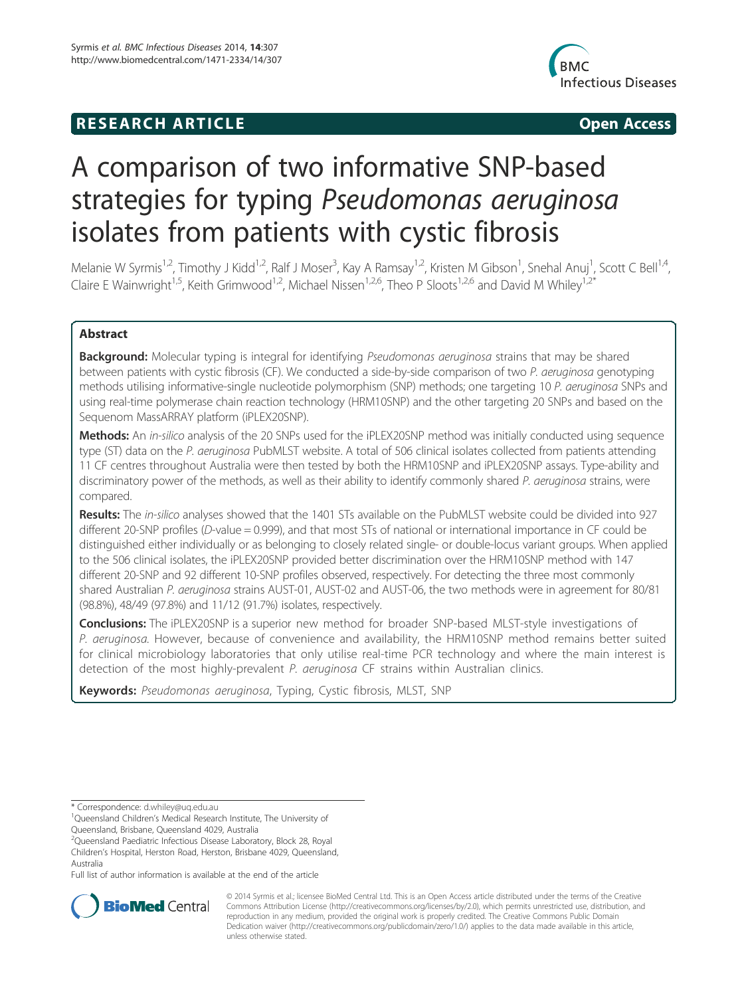# **RESEARCH ARTICLE Example 2014 12:30 The SEAR CHA RTICLE**



# A comparison of two informative SNP-based strategies for typing Pseudomonas aeruginosa isolates from patients with cystic fibrosis

Melanie W Syrmis<sup>1,2</sup>, Timothy J Kidd<sup>1,2</sup>, Ralf J Moser<sup>3</sup>, Kay A Ramsay<sup>1,2</sup>, Kristen M Gibson<sup>1</sup>, Snehal Anuj<sup>1</sup>, Scott C Bell<sup>1,4</sup>, Claire E Wainwright<sup>1,5</sup>, Keith Grimwood<sup>1,2</sup>, Michael Nissen<sup>1,2,6</sup>, Theo P Sloots<sup>1,2,6</sup> and David M Whiley<sup>1,2\*</sup>

## Abstract

Background: Molecular typing is integral for identifying Pseudomonas aeruginosa strains that may be shared between patients with cystic fibrosis (CF). We conducted a side-by-side comparison of two P. aeruginosa genotyping methods utilising informative-single nucleotide polymorphism (SNP) methods; one targeting 10 P. aeruginosa SNPs and using real-time polymerase chain reaction technology (HRM10SNP) and the other targeting 20 SNPs and based on the Sequenom MassARRAY platform (iPLEX20SNP).

Methods: An in-silico analysis of the 20 SNPs used for the iPLEX20SNP method was initially conducted using sequence type (ST) data on the P. aeruginosa PubMLST website. A total of 506 clinical isolates collected from patients attending 11 CF centres throughout Australia were then tested by both the HRM10SNP and iPLEX20SNP assays. Type-ability and discriminatory power of the methods, as well as their ability to identify commonly shared P. aeruginosa strains, were compared.

Results: The in-silico analyses showed that the 1401 STs available on the PubMLST website could be divided into 927 different 20-SNP profiles (D-value = 0.999), and that most STs of national or international importance in CF could be distinguished either individually or as belonging to closely related single- or double-locus variant groups. When applied to the 506 clinical isolates, the iPLEX20SNP provided better discrimination over the HRM10SNP method with 147 different 20-SNP and 92 different 10-SNP profiles observed, respectively. For detecting the three most commonly shared Australian P. aeruginosa strains AUST-01, AUST-02 and AUST-06, the two methods were in agreement for 80/81 (98.8%), 48/49 (97.8%) and 11/12 (91.7%) isolates, respectively.

Conclusions: The iPLEX20SNP is a superior new method for broader SNP-based MLST-style investigations of P. aeruginosa. However, because of convenience and availability, the HRM10SNP method remains better suited for clinical microbiology laboratories that only utilise real-time PCR technology and where the main interest is detection of the most highly-prevalent P. aeruginosa CF strains within Australian clinics.

Keywords: Pseudomonas aeruginosa, Typing, Cystic fibrosis, MLST, SNP

\* Correspondence: d.whiley@uq.edu.au <sup>1</sup>

<sup>1</sup>Queensland Children's Medical Research Institute, The University of

Queensland, Brisbane, Queensland 4029, Australia

<sup>2</sup>Queensland Paediatric Infectious Disease Laboratory, Block 28, Royal

Children's Hospital, Herston Road, Herston, Brisbane 4029, Queensland, Australia

Full list of author information is available at the end of the article



© 2014 Syrmis et al.; licensee BioMed Central Ltd. This is an Open Access article distributed under the terms of the Creative Commons Attribution License (http://creativecommons.org/licenses/by/2.0), which permits unrestricted use, distribution, and reproduction in any medium, provided the original work is properly credited. The Creative Commons Public Domain Dedication waiver (http://creativecommons.org/publicdomain/zero/1.0/) applies to the data made available in this article, unless otherwise stated.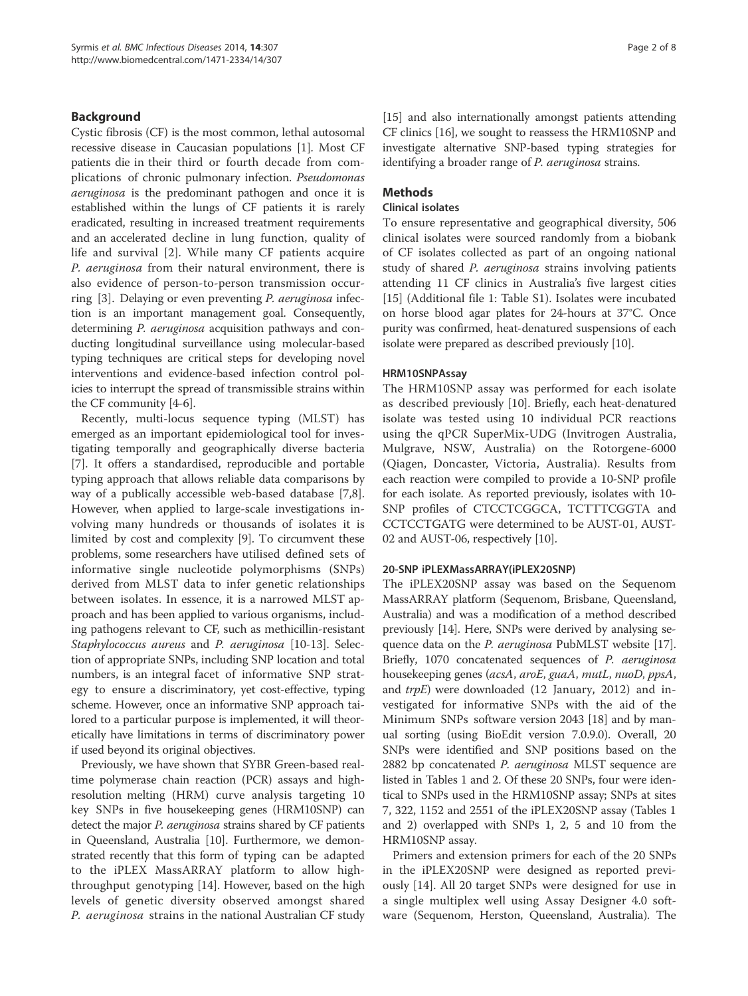## Background

Cystic fibrosis (CF) is the most common, lethal autosomal recessive disease in Caucasian populations [1]. Most CF patients die in their third or fourth decade from complications of chronic pulmonary infection. Pseudomonas aeruginosa is the predominant pathogen and once it is established within the lungs of CF patients it is rarely eradicated, resulting in increased treatment requirements and an accelerated decline in lung function, quality of life and survival [2]. While many CF patients acquire P. aeruginosa from their natural environment, there is also evidence of person-to-person transmission occurring [3]. Delaying or even preventing P. aeruginosa infection is an important management goal. Consequently, determining P. aeruginosa acquisition pathways and conducting longitudinal surveillance using molecular-based typing techniques are critical steps for developing novel interventions and evidence-based infection control policies to interrupt the spread of transmissible strains within the CF community [4-6].

Recently, multi-locus sequence typing (MLST) has emerged as an important epidemiological tool for investigating temporally and geographically diverse bacteria [7]. It offers a standardised, reproducible and portable typing approach that allows reliable data comparisons by way of a publically accessible web-based database [7,8]. However, when applied to large-scale investigations involving many hundreds or thousands of isolates it is limited by cost and complexity [9]. To circumvent these problems, some researchers have utilised defined sets of informative single nucleotide polymorphisms (SNPs) derived from MLST data to infer genetic relationships between isolates. In essence, it is a narrowed MLST approach and has been applied to various organisms, including pathogens relevant to CF, such as methicillin-resistant Staphylococcus aureus and P. aeruginosa [10-13]. Selection of appropriate SNPs, including SNP location and total numbers, is an integral facet of informative SNP strategy to ensure a discriminatory, yet cost-effective, typing scheme. However, once an informative SNP approach tailored to a particular purpose is implemented, it will theoretically have limitations in terms of discriminatory power if used beyond its original objectives.

Previously, we have shown that SYBR Green-based realtime polymerase chain reaction (PCR) assays and highresolution melting (HRM) curve analysis targeting 10 key SNPs in five housekeeping genes (HRM10SNP) can detect the major *P. aeruginosa* strains shared by CF patients in Queensland, Australia [10]. Furthermore, we demonstrated recently that this form of typing can be adapted to the iPLEX MassARRAY platform to allow highthroughput genotyping [14]. However, based on the high levels of genetic diversity observed amongst shared P. aeruginosa strains in the national Australian CF study [15] and also internationally amongst patients attending CF clinics [16], we sought to reassess the HRM10SNP and investigate alternative SNP-based typing strategies for identifying a broader range of P. aeruginosa strains.

## Methods

## Clinical isolates

To ensure representative and geographical diversity, 506 clinical isolates were sourced randomly from a biobank of CF isolates collected as part of an ongoing national study of shared P. aeruginosa strains involving patients attending 11 CF clinics in Australia's five largest cities [15] (Additional file 1: Table S1). Isolates were incubated on horse blood agar plates for 24-hours at 37°C. Once purity was confirmed, heat-denatured suspensions of each isolate were prepared as described previously [10].

## HRM10SNPAssay

The HRM10SNP assay was performed for each isolate as described previously [10]. Briefly, each heat-denatured isolate was tested using 10 individual PCR reactions using the qPCR SuperMix-UDG (Invitrogen Australia, Mulgrave, NSW, Australia) on the Rotorgene-6000 (Qiagen, Doncaster, Victoria, Australia). Results from each reaction were compiled to provide a 10-SNP profile for each isolate. As reported previously, isolates with 10- SNP profiles of CTCCTCGGCA, TCTTTCGGTA and CCTCCTGATG were determined to be AUST-01, AUST-02 and AUST-06, respectively [10].

### 20-SNP iPLEXMassARRAY(iPLEX20SNP)

The iPLEX20SNP assay was based on the Sequenom MassARRAY platform (Sequenom, Brisbane, Queensland, Australia) and was a modification of a method described previously [14]. Here, SNPs were derived by analysing sequence data on the *P. aeruginosa* PubMLST website [17]. Briefly, 1070 concatenated sequences of P. aeruginosa housekeeping genes (acsA, aroE, guaA, mutL, nuoD, ppsA, and trpE) were downloaded (12 January, 2012) and investigated for informative SNPs with the aid of the Minimum SNPs software version 2043 [18] and by manual sorting (using BioEdit version 7.0.9.0). Overall, 20 SNPs were identified and SNP positions based on the 2882 bp concatenated *P. aeruginosa* MLST sequence are listed in Tables 1 and 2. Of these 20 SNPs, four were identical to SNPs used in the HRM10SNP assay; SNPs at sites 7, 322, 1152 and 2551 of the iPLEX20SNP assay (Tables 1 and 2) overlapped with SNPs 1, 2, 5 and 10 from the HRM10SNP assay.

Primers and extension primers for each of the 20 SNPs in the iPLEX20SNP were designed as reported previously [14]. All 20 target SNPs were designed for use in a single multiplex well using Assay Designer 4.0 software (Sequenom, Herston, Queensland, Australia). The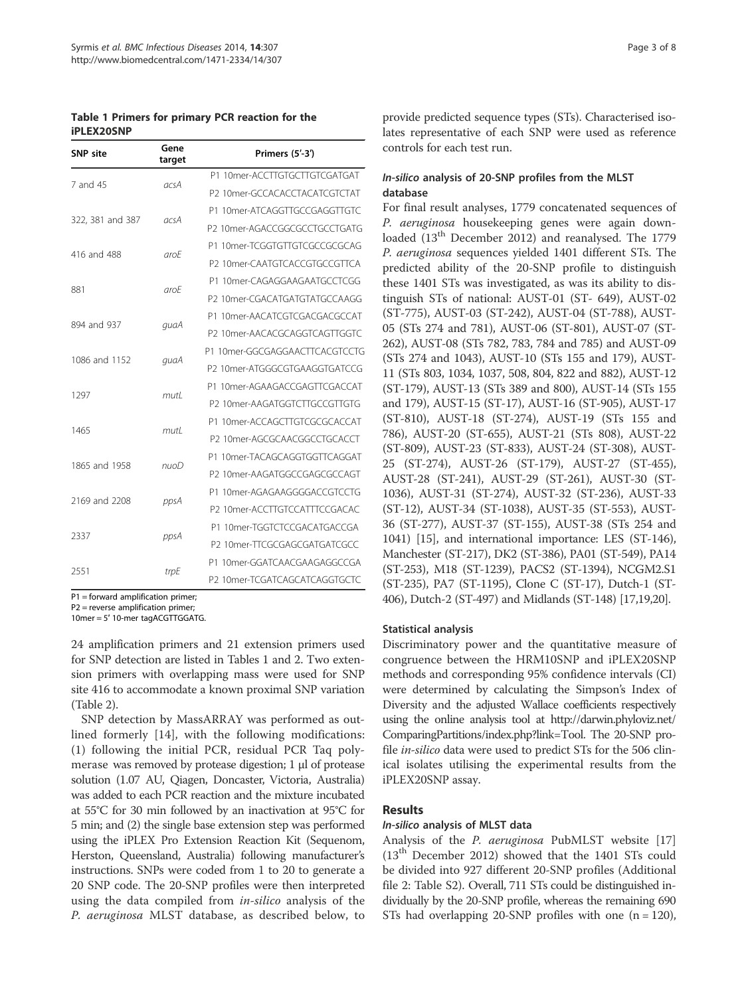Table 1 Primers for primary PCR reaction for the iPLEX20SNP

| <b>SNP</b> site  | Gene<br>target | Primers (5'-3')                |  |
|------------------|----------------|--------------------------------|--|
| 7 and 45         | acsA           | P1 10mer-ACCTTGTGCTTGTCGATGAT  |  |
|                  |                | P2 10mer-GCCACACCTACATCGTCTAT  |  |
|                  | acsA           | P1 10mer-ATCAGGTTGCCGAGGTTGTC  |  |
| 322, 381 and 387 |                | P2 10mer-AGACCGGCGCCTGCCTGATG  |  |
| 416 and 488      | arcF           | P1 10mer-TCGGTGTTGTCGCCGCGCAG  |  |
|                  |                | P2 10mer-CAATGTCACCGTGCCGTTCA  |  |
|                  | arcF           | P1 10mer-CAGAGGAAGAATGCCTCGG   |  |
| 881              |                | P2 10mer-CGACATGATGTATGCCAAGG  |  |
| 894 and 937      | quaA           | P1 10mer-AACATCGTCGACGACGCCAT  |  |
|                  |                | P2 10mer-AACACGCAGGTCAGTTGGTC  |  |
| 1086 and 1152    | quaA           | P1 10mer-GGCGAGGAACTTCACGTCCTG |  |
|                  |                | P2 10mer-ATGGGCGTGAAGGTGATCCG  |  |
| 1297             | mutl           | P1 10mer-AGAAGACCGAGTTCGACCAT  |  |
|                  |                | P2 10mer-AAGATGGTCTTGCCGTTGTG  |  |
| 1465             | mutl           | P1 10mer-ACCAGCTTGTCGCGCACCAT  |  |
|                  |                | P2 10mer-AGCGCAACGGCCTGCACCT   |  |
| 1865 and 1958    | nuoD           | P1 10mer-TACAGCAGGTGGTTCAGGAT  |  |
|                  |                | P2 10mer-AAGATGGCCGAGCGCCAGT   |  |
| 2169 and 2208    | ppsA           | P1 10mer-AGAGAAGGGGACCGTCCTG   |  |
|                  |                | P2_10mer-ACCTTGTCCATTTCCGACAC  |  |
| 2337             | ppsA           | P1_10mer-TGGTCTCCGACATGACCGA   |  |
|                  |                | P2 10mer-TTCGCGAGCGATGATCGCC   |  |
| 2551             | trpE           | P1 10mer-GGATCAACGAAGAGGCCGA   |  |
|                  |                | P2_10mer-TCGATCAGCATCAGGTGCTC  |  |

P1 = forward amplification primer;

P2 = reverse amplification primer; 10mer = 5′ 10-mer tagACGTTGGATG.

24 amplification primers and 21 extension primers used for SNP detection are listed in Tables 1 and 2. Two extension primers with overlapping mass were used for SNP site 416 to accommodate a known proximal SNP variation (Table 2).

SNP detection by MassARRAY was performed as outlined formerly [14], with the following modifications: (1) following the initial PCR, residual PCR Taq polymerase was removed by protease digestion; 1 μl of protease solution (1.07 AU, Qiagen, Doncaster, Victoria, Australia) was added to each PCR reaction and the mixture incubated at 55°C for 30 min followed by an inactivation at 95°C for 5 min; and (2) the single base extension step was performed using the iPLEX Pro Extension Reaction Kit (Sequenom, Herston, Queensland, Australia) following manufacturer's instructions. SNPs were coded from 1 to 20 to generate a 20 SNP code. The 20-SNP profiles were then interpreted using the data compiled from *in-silico* analysis of the P. aeruginosa MLST database, as described below, to provide predicted sequence types (STs). Characterised isolates representative of each SNP were used as reference controls for each test run.

## In-silico analysis of 20-SNP profiles from the MLST database

For final result analyses, 1779 concatenated sequences of P. aeruginosa housekeeping genes were again downloaded (13<sup>th</sup> December 2012) and reanalysed. The 1779 P. aeruginosa sequences yielded 1401 different STs. The predicted ability of the 20-SNP profile to distinguish these 1401 STs was investigated, as was its ability to distinguish STs of national: AUST-01 (ST- 649), AUST-02 (ST-775), AUST-03 (ST-242), AUST-04 (ST-788), AUST-05 (STs 274 and 781), AUST-06 (ST-801), AUST-07 (ST-262), AUST-08 (STs 782, 783, 784 and 785) and AUST-09 (STs 274 and 1043), AUST-10 (STs 155 and 179), AUST-11 (STs 803, 1034, 1037, 508, 804, 822 and 882), AUST-12 (ST-179), AUST-13 (STs 389 and 800), AUST-14 (STs 155 and 179), AUST-15 (ST-17), AUST-16 (ST-905), AUST-17 (ST-810), AUST-18 (ST-274), AUST-19 (STs 155 and 786), AUST-20 (ST-655), AUST-21 (STs 808), AUST-22 (ST-809), AUST-23 (ST-833), AUST-24 (ST-308), AUST-25 (ST-274), AUST-26 (ST-179), AUST-27 (ST-455), AUST-28 (ST-241), AUST-29 (ST-261), AUST-30 (ST-1036), AUST-31 (ST-274), AUST-32 (ST-236), AUST-33 (ST-12), AUST-34 (ST-1038), AUST-35 (ST-553), AUST-36 (ST-277), AUST-37 (ST-155), AUST-38 (STs 254 and 1041) [15], and international importance: LES (ST-146), Manchester (ST-217), DK2 (ST-386), PA01 (ST-549), PA14 (ST-253), M18 (ST-1239), PACS2 (ST-1394), NCGM2.S1 (ST-235), PA7 (ST-1195), Clone C (ST-17), Dutch-1 (ST-406), Dutch-2 (ST-497) and Midlands (ST-148) [17,19,20].

### Statistical analysis

Discriminatory power and the quantitative measure of congruence between the HRM10SNP and iPLEX20SNP methods and corresponding 95% confidence intervals (CI) were determined by calculating the Simpson's Index of Diversity and the adjusted Wallace coefficients respectively using the online analysis tool at http://darwin.phyloviz.net/ ComparingPartitions/index.php?link=Tool. The 20-SNP profile *in-silico* data were used to predict STs for the 506 clinical isolates utilising the experimental results from the iPLEX20SNP assay.

## Results

### In-silico analysis of MLST data

Analysis of the P. aeruginosa PubMLST website [17] (13th December 2012) showed that the 1401 STs could be divided into 927 different 20-SNP profiles (Additional file 2: Table S2). Overall, 711 STs could be distinguished individually by the 20-SNP profile, whereas the remaining 690 STs had overlapping 20-SNP profiles with one  $(n = 120)$ ,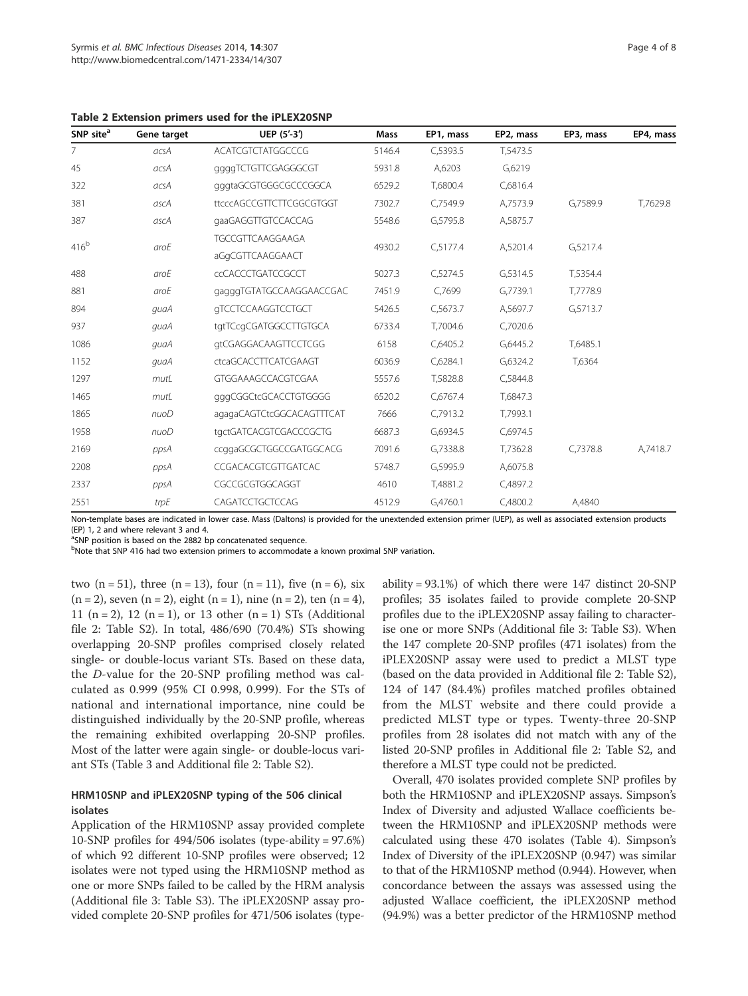Table 2 Extension primers used for the iPLEX20SNP

| SNP site <sup>a</sup>    | Gene target | UEP (5'-3')               | Mass   | EP1, mass           | EP2, mass | EP3, mass | EP4, mass |
|--------------------------|-------------|---------------------------|--------|---------------------|-----------|-----------|-----------|
| $\overline{7}$           | acsA        | <b>ACATCGTCTATGGCCCG</b>  | 5146.4 | C,5393.5            | T,5473.5  |           |           |
| 45                       | acsA        | ggggTCTGTTCGAGGGCGT       | 5931.8 | A,6203              | G,6219    |           |           |
| 322                      | acsA        | gggtaGCGTGGGCGCCCGGCA     | 6529.2 | T,6800.4            | C,6816.4  |           |           |
| 381                      | ascA        | ttcccAGCCGTTCTTCGGCGTGGT  | 7302.7 | C,7549.9            | A,7573.9  | G,7589.9  | T,7629.8  |
| 387                      | ascA        | gaaGAGGTTGTCCACCAG        | 5548.6 | G,5795.8            | A,5875.7  |           |           |
| 416 <sup>b</sup><br>aroE |             | TGCCGTTCAAGGAAGA          |        |                     | A,5201.4  |           |           |
|                          |             | aGgCGTTCAAGGAACT          |        | C, 5177.4<br>4930.2 |           | G,5217.4  |           |
| 488                      | aroE        | <b>CCACCCTGATCCGCCT</b>   | 5027.3 | C,5274.5            | G,5314.5  | T,5354.4  |           |
| 881                      | aroE        | gagggTGTATGCCAAGGAACCGAC  | 7451.9 | C,7699              | G,7739.1  | T,7778.9  |           |
| 894                      | quaA        | <b>GTCCTCCAAGGTCCTGCT</b> | 5426.5 | C, 5673.7           | A,5697.7  | G,5713.7  |           |
| 937                      | quaA        | tgtTCcgCGATGGCCTTGTGCA    | 6733.4 | T,7004.6            | C,7020.6  |           |           |
| 1086                     | quaA        | gtCGAGGACAAGTTCCTCGG      | 6158   | C,6405.2            | G,6445.2  | T,6485.1  |           |
| 1152                     | quaA        | ctcaGCACCTTCATCGAAGT      | 6036.9 | C,6284.1            | G,6324.2  | T,6364    |           |
| 1297                     | mutL        | GTGGAAAGCCACGTCGAA        | 5557.6 | T,5828.8            | C,5844.8  |           |           |
| 1465                     | mutL        | gggCGGCtcGCACCTGTGGGG     | 6520.2 | C,6767.4            | T,6847.3  |           |           |
| 1865                     | nuoD        | agagaCAGTCtcGGCACAGTTTCAT | 7666   | C,7913.2            | T,7993.1  |           |           |
| 1958                     | nuoD        | tgctGATCACGTCGACCCGCTG    | 6687.3 | G,6934.5            | C,6974.5  |           |           |
| 2169                     | ppsA        | ccggaGCGCTGGCCGATGGCACG   | 7091.6 | G,7338.8            | T,7362.8  | C,7378.8  | A,7418.7  |
| 2208                     | ppsA        | CCGACACGTCGTTGATCAC       | 5748.7 | G,5995.9            | A,6075.8  |           |           |
| 2337                     | ppsA        | CGCCGCGTGGCAGGT           | 4610   | T,4881.2            | C,4897.2  |           |           |
| 2551                     | trpE        | CAGATCCTGCTCCAG           | 4512.9 | G,4760.1            | C,4800.2  | A,4840    |           |

Non-template bases are indicated in lower case. Mass (Daltons) is provided for the unextended extension primer (UEP), as well as associated extension products (EP) 1, 2 and where relevant 3 and 4.

<sup>a</sup>SNP position is based on the 2882 bp concatenated sequence.

<sup>b</sup>Note that SNP 416 had two extension primers to accommodate a known proximal SNP variation.

two  $(n = 51)$ , three  $(n = 13)$ , four  $(n = 11)$ , five  $(n = 6)$ , six  $(n = 2)$ , seven  $(n = 2)$ , eight  $(n = 1)$ , nine  $(n = 2)$ , ten  $(n = 4)$ , 11 (n = 2), 12 (n = 1), or 13 other (n = 1) STs (Additional file 2: Table S2). In total, 486/690 (70.4%) STs showing overlapping 20-SNP profiles comprised closely related single- or double-locus variant STs. Based on these data, the D-value for the 20-SNP profiling method was calculated as 0.999 (95% CI 0.998, 0.999). For the STs of national and international importance, nine could be distinguished individually by the 20-SNP profile, whereas the remaining exhibited overlapping 20-SNP profiles. Most of the latter were again single- or double-locus variant STs (Table 3 and Additional file 2: Table S2).

## HRM10SNP and iPLEX20SNP typing of the 506 clinical isolates

Application of the HRM10SNP assay provided complete 10-SNP profiles for 494/506 isolates (type-ability = 97.6%) of which 92 different 10-SNP profiles were observed; 12 isolates were not typed using the HRM10SNP method as one or more SNPs failed to be called by the HRM analysis (Additional file 3: Table S3). The iPLEX20SNP assay provided complete 20-SNP profiles for 471/506 isolates (type-

ability = 93.1%) of which there were 147 distinct 20-SNP profiles; 35 isolates failed to provide complete 20-SNP profiles due to the iPLEX20SNP assay failing to characterise one or more SNPs (Additional file 3: Table S3). When the 147 complete 20-SNP profiles (471 isolates) from the iPLEX20SNP assay were used to predict a MLST type (based on the data provided in Additional file 2: Table S2), 124 of 147 (84.4%) profiles matched profiles obtained from the MLST website and there could provide a predicted MLST type or types. Twenty-three 20-SNP profiles from 28 isolates did not match with any of the listed 20-SNP profiles in Additional file 2: Table S2, and therefore a MLST type could not be predicted.

Overall, 470 isolates provided complete SNP profiles by both the HRM10SNP and iPLEX20SNP assays. Simpson's Index of Diversity and adjusted Wallace coefficients between the HRM10SNP and iPLEX20SNP methods were calculated using these 470 isolates (Table 4). Simpson's Index of Diversity of the iPLEX20SNP (0.947) was similar to that of the HRM10SNP method (0.944). However, when concordance between the assays was assessed using the adjusted Wallace coefficient, the iPLEX20SNP method (94.9%) was a better predictor of the HRM10SNP method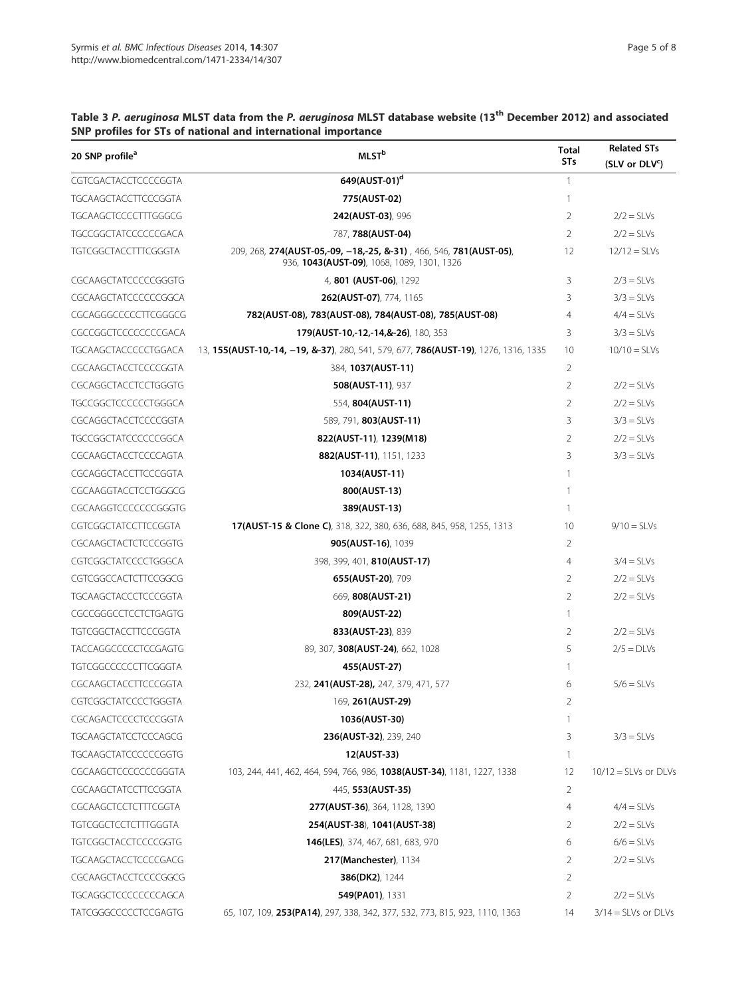| 20 SNP profile <sup>a</sup> | <b>MLST</b> <sup>b</sup>                                                                                         |                | <b>Related STs</b>         |  |
|-----------------------------|------------------------------------------------------------------------------------------------------------------|----------------|----------------------------|--|
|                             |                                                                                                                  | <b>STs</b>     | (SLV or DLV <sup>c</sup> ) |  |
| CGTCGACTACCTCCCCGGTA        | 649(AUST-01) <sup>d</sup>                                                                                        | $\mathbf{1}$   |                            |  |
| TGCAAGCTACCTTCCCGGTA        | 775(AUST-02)                                                                                                     | 1              |                            |  |
| TGCAAGCTCCCCTTTGGGCG        | 242(AUST-03), 996                                                                                                | 2              | $2/2 = SLVs$               |  |
| TGCCGGCTATCCCCCCGACA        | 787, 788(AUST-04)                                                                                                | 2              | $2/2 = SLVs$               |  |
| TGTCGGCTACCTTTCGGGTA        | 209, 268, 274(AUST-05,-09, -18,-25, &-31), 466, 546, 781(AUST-05),<br>936, 1043(AUST-09), 1068, 1089, 1301, 1326 | 12             | $12/12 =$ SLVs             |  |
| CGCAAGCTATCCCCCGGGTG        | 4, 801 (AUST-06), 1292                                                                                           | 3              | $2/3 = SLVs$               |  |
| CGCAAGCTATCCCCCCCGGCA       | <b>262(AUST-07)</b> , 774, 1165                                                                                  | 3              | $3/3 = SLVs$               |  |
| CGCAGGGCCCCCTTCGGGCG        | 782(AUST-08), 783(AUST-08), 784(AUST-08), 785(AUST-08)                                                           | $\overline{4}$ | $4/4 =$ SLVs               |  |
| CGCCGGCTCCCCCCCCGACA        | 179(AUST-10,-12,-14,&-26), 180, 353                                                                              | 3              | $3/3 = SLVs$               |  |
| TGCAAGCTACCCCCTGGACA        | 13, 155(AUST-10,-14, -19, &-37), 280, 541, 579, 677, 786(AUST-19), 1276, 1316, 1335                              | 10             | $10/10 =$ SLVs             |  |
| CGCAAGCTACCTCCCCGGTA        | 384, 1037(AUST-11)                                                                                               | 2              |                            |  |
| CGCAGGCTACCTCCTGGGTG        | <b>508(AUST-11), 937</b>                                                                                         | 2              | $2/2 = SLVs$               |  |
| TGCCGGCTCCCCCCTGGGCA        | 554, 804(AUST-11)                                                                                                | 2              | $2/2 = SLVs$               |  |
| CGCAGGCTACCTCCCCGGTA        | 589, 791, 803(AUST-11)                                                                                           | 3              | $3/3 = SLVs$               |  |
| TGCCGGCTATCCCCCCCGGCA       | 822(AUST-11), 1239(M18)                                                                                          | 2              | $2/2 = SLVs$               |  |
| CGCAAGCTACCTCCCCAGTA        | 882(AUST-11), 1151, 1233                                                                                         | 3              | $3/3 = SLVs$               |  |
| CGCAGGCTACCTTCCCGGTA        | 1034(AUST-11)                                                                                                    | 1              |                            |  |
| CGCAAGGTACCTCCTGGGCG        | 800(AUST-13)                                                                                                     | 1              |                            |  |
| CGCAAGGTCCCCCCCGGGGTG       | 389(AUST-13)                                                                                                     | -1             |                            |  |
| CGTCGGCTATCCTTCCGGTA        | 17(AUST-15 & Clone C), 318, 322, 380, 636, 688, 845, 958, 1255, 1313                                             | 10             | $9/10 =$ SLVs              |  |
| CGCAAGCTACTCTCCCGGTG        | 905(AUST-16), 1039                                                                                               | 2              |                            |  |
| CGTCGGCTATCCCCTGGGCA        | 398, 399, 401, 810(AUST-17)                                                                                      | 4              | $3/4 = SLVs$               |  |
| CGTCGGCCACTCTTCCGGCG        | 655(AUST-20), 709                                                                                                | 2              | $2/2 = SLVs$               |  |
| TGCAAGCTACCCTCCCGGTA        | 669, 808(AUST-21)                                                                                                | 2              | $2/2 = SLVs$               |  |
| CGCCGGGCCTCCTCTGAGTG        | 809(AUST-22)                                                                                                     | 1              |                            |  |
| TGTCGGCTACCTTCCCGGTA        | 833(AUST-23), 839                                                                                                | 2              | $2/2 = SLVs$               |  |
| TACCAGGCCCCCTCCGAGTG        | 89, 307, 308(AUST-24), 662, 1028                                                                                 | 5              | $2/5 = D L Vs$             |  |
| TGTCGGCCCCCCTTCGGGTA        | 455(AUST-27)                                                                                                     | 1              |                            |  |
| CGCAAGCTACCTTCCCGGTA        | 232, 241(AUST-28), 247, 379, 471, 577                                                                            | 6              | $5/6 =$ SLVs               |  |
| CGTCGGCTATCCCCTGGGTA        | 169, 261(AUST-29)                                                                                                |                |                            |  |
| CGCAGACTCCCCTCCCGGTA        | 1036(AUST-30)                                                                                                    | -1             |                            |  |
| TGCAAGCTATCCTCCCAGCG        | 236(AUST-32), 239, 240                                                                                           | 3              | $3/3 = SLVs$               |  |
| TGCAAGCTATCCCCCCGGTG        | 12(AUST-33)                                                                                                      | 1              |                            |  |
| CGCAAGCTCCCCCCCGGGTA        | 103, 244, 441, 462, 464, 594, 766, 986, 1038(AUST-34), 1181, 1227, 1338                                          | 12             | $10/12 =$ SLVs or DLVs     |  |
| CGCAAGCTATCCTTCCGGTA        | 445, 553(AUST-35)                                                                                                | 2              |                            |  |
| CGCAAGCTCCTCTTTCGGTA        | 277(AUST-36), 364, 1128, 1390                                                                                    | 4              | $4/4 =$ SLVs               |  |
| TGTCGGCTCCTCTTTGGGTA        | 254(AUST-38), 1041(AUST-38)                                                                                      | 2              | $2/2 = SLVs$               |  |
| TGTCGGCTACCTCCCCGGTG        | <b>146(LES)</b> , 374, 467, 681, 683, 970                                                                        | 6              | $6/6 = SLVs$               |  |
| TGCAAGCTACCTCCCCGACG        | 217(Manchester), 1134                                                                                            | 2              | $2/2 = SLVs$               |  |
| CGCAAGCTACCTCCCCGGCG        | <b>386(DK2), 1244</b>                                                                                            | 2              |                            |  |
| TGCAGGCTCCCCCCCCCAGCA       | 549(PA01), 1331                                                                                                  | 2              | $2/2 = SLVs$               |  |
| TATCGGGCCCCCTCCGAGTG        | 65, 107, 109, 253(PA14), 297, 338, 342, 377, 532, 773, 815, 923, 1110, 1363                                      | 14             | $3/14 = SLVs$ or DLVs      |  |

## Table 3 P. aeruginosa MLST data from the P. aeruginosa MLST database website (13<sup>th</sup> December 2012) and associated SNP profiles for STs of national and international importance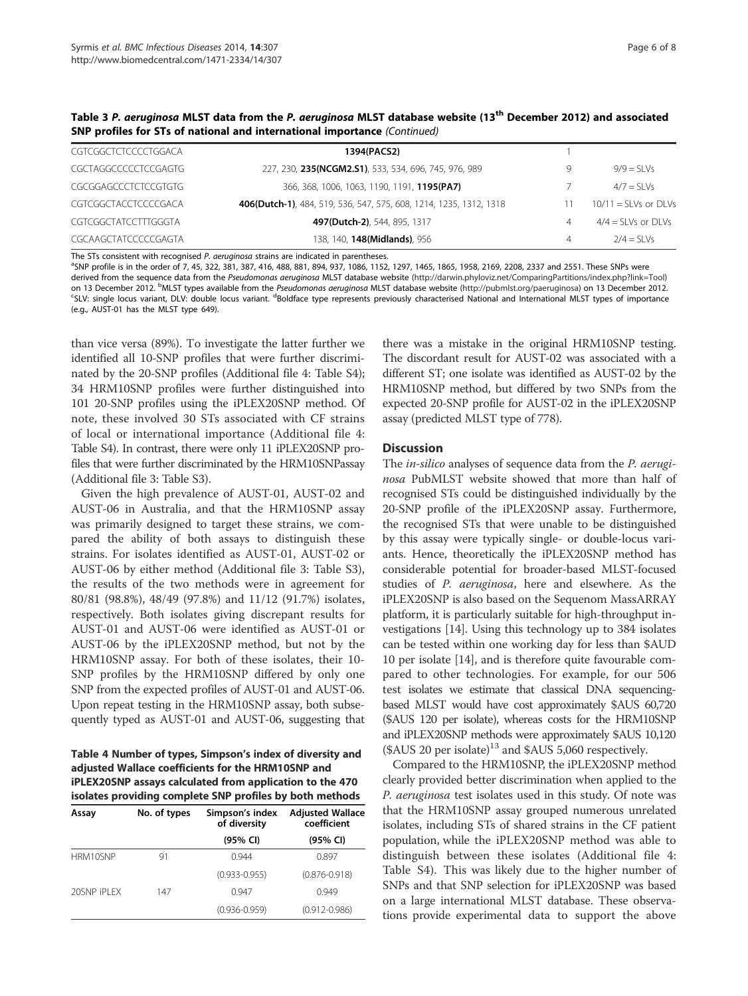| CGTCGGCTCTCCCCTGGACA | 1394(PACS2)                                                        |   |                        |
|----------------------|--------------------------------------------------------------------|---|------------------------|
| CGCTAGGCCCCCTCCGAGTG | 227, 230, 235(NCGM2.S1), 533, 534, 696, 745, 976, 989              | 9 | $9/9 = 51$ Vs          |
| CGCGGAGCCCTCTCCGTGTG | 366, 368, 1006, 1063, 1190, 1191, <b>1195(PA7)</b>                 |   | $4/7 =$ SI Vs          |
| CGTCGGCTACCTCCCCGACA | 406(Dutch-1), 484, 519, 536, 547, 575, 608, 1214, 1235, 1312, 1318 |   | $10/11 =$ SLVs or DLVs |
| CGTCGGCTATCCTTTGGGTA | 497(Dutch-2), 544, 895, 1317                                       | 4 | $4/4 =$ SLVs or DLVs   |
| CGCAAGCTATCCCCCGAGTA | 138, 140, 148 (Midlands), 956                                      | 4 | $2/4 =$ SI Vs          |

Table 3 P. aeruginosa MLST data from the P. aeruginosa MLST database website (13<sup>th</sup> December 2012) and associated SNP profiles for STs of national and international importance (Continued)

The STs consistent with recognised P. aeruginosa strains are indicated in parentheses.

<sup>a</sup>SNP profile is in the order of 7, 45, 322, 381, 387, 416, 488, 881, 894, 937, 1086, 1152, 1297, 1465, 1865, 1958, 2169, 2208, 2337 and 2551. These SNPs were derived from the sequence data from the Pseudomonas aeruginosa MLST database website (http://darwin.phyloviz.net/ComparingPartitions/index.php?link=Tool) on 13 December 2012. <sup>b</sup>MLST types available from the *Pseudomonas aeruginosa* MLST database website (http://pubmlst.org/paeruginosa) on 13 December 2012. **b**MLST types at importance of importance of importance of importan SLV: single locus variant, DLV: double locus variant. <sup>d</sup>Boldface type represents previously characterised National and International MLST types of importance (e.g., AUST-01 has the MLST type 649).

than vice versa (89%). To investigate the latter further we identified all 10-SNP profiles that were further discriminated by the 20-SNP profiles (Additional file 4: Table S4); 34 HRM10SNP profiles were further distinguished into 101 20-SNP profiles using the iPLEX20SNP method. Of note, these involved 30 STs associated with CF strains of local or international importance (Additional file 4: Table S4). In contrast, there were only 11 iPLEX20SNP profiles that were further discriminated by the HRM10SNPassay (Additional file 3: Table S3).

Given the high prevalence of AUST-01, AUST-02 and AUST-06 in Australia, and that the HRM10SNP assay was primarily designed to target these strains, we compared the ability of both assays to distinguish these strains. For isolates identified as AUST-01, AUST-02 or AUST-06 by either method (Additional file 3: Table S3), the results of the two methods were in agreement for 80/81 (98.8%), 48/49 (97.8%) and 11/12 (91.7%) isolates, respectively. Both isolates giving discrepant results for AUST-01 and AUST-06 were identified as AUST-01 or AUST-06 by the iPLEX20SNP method, but not by the HRM10SNP assay. For both of these isolates, their 10- SNP profiles by the HRM10SNP differed by only one SNP from the expected profiles of AUST-01 and AUST-06. Upon repeat testing in the HRM10SNP assay, both subsequently typed as AUST-01 and AUST-06, suggesting that

Table 4 Number of types, Simpson's index of diversity and adjusted Wallace coefficients for the HRM10SNP and iPLEX20SNP assays calculated from application to the 470 isolates providing complete SNP profiles by both methods

| Assay        | No. of types | Simpson's index<br>of diversity | <b>Adjusted Wallace</b><br>coefficient |  |  |
|--------------|--------------|---------------------------------|----------------------------------------|--|--|
|              |              | (95% CI)                        | (95% CI)                               |  |  |
| HRM10SNP     | 91           | 0.944                           | 0.897                                  |  |  |
|              |              | $(0.933 - 0.955)$               | $(0.876 - 0.918)$                      |  |  |
| 20SNP IPI FX | 147          | 0.947                           | 0.949                                  |  |  |
|              |              | $(0.936 - 0.959)$               | $(0.912 - 0.986)$                      |  |  |

there was a mistake in the original HRM10SNP testing. The discordant result for AUST-02 was associated with a different ST; one isolate was identified as AUST-02 by the HRM10SNP method, but differed by two SNPs from the expected 20-SNP profile for AUST-02 in the iPLEX20SNP assay (predicted MLST type of 778).

#### **Discussion**

The *in-silico* analyses of sequence data from the *P. aerugi*nosa PubMLST website showed that more than half of recognised STs could be distinguished individually by the 20-SNP profile of the iPLEX20SNP assay. Furthermore, the recognised STs that were unable to be distinguished by this assay were typically single- or double-locus variants. Hence, theoretically the iPLEX20SNP method has considerable potential for broader-based MLST-focused studies of P. aeruginosa, here and elsewhere. As the iPLEX20SNP is also based on the Sequenom MassARRAY platform, it is particularly suitable for high-throughput investigations [14]. Using this technology up to 384 isolates can be tested within one working day for less than \$AUD 10 per isolate [14], and is therefore quite favourable compared to other technologies. For example, for our 506 test isolates we estimate that classical DNA sequencingbased MLST would have cost approximately \$AUS 60,720 (\$AUS 120 per isolate), whereas costs for the HRM10SNP and iPLEX20SNP methods were approximately \$AUS 10,120  $($AUS 20 per isolate)<sup>13</sup>$  and  $$AUS 5,060 respectively.$ 

Compared to the HRM10SNP, the iPLEX20SNP method clearly provided better discrimination when applied to the P. aeruginosa test isolates used in this study. Of note was that the HRM10SNP assay grouped numerous unrelated isolates, including STs of shared strains in the CF patient population, while the iPLEX20SNP method was able to distinguish between these isolates (Additional file 4: Table S4). This was likely due to the higher number of SNPs and that SNP selection for iPLEX20SNP was based on a large international MLST database. These observations provide experimental data to support the above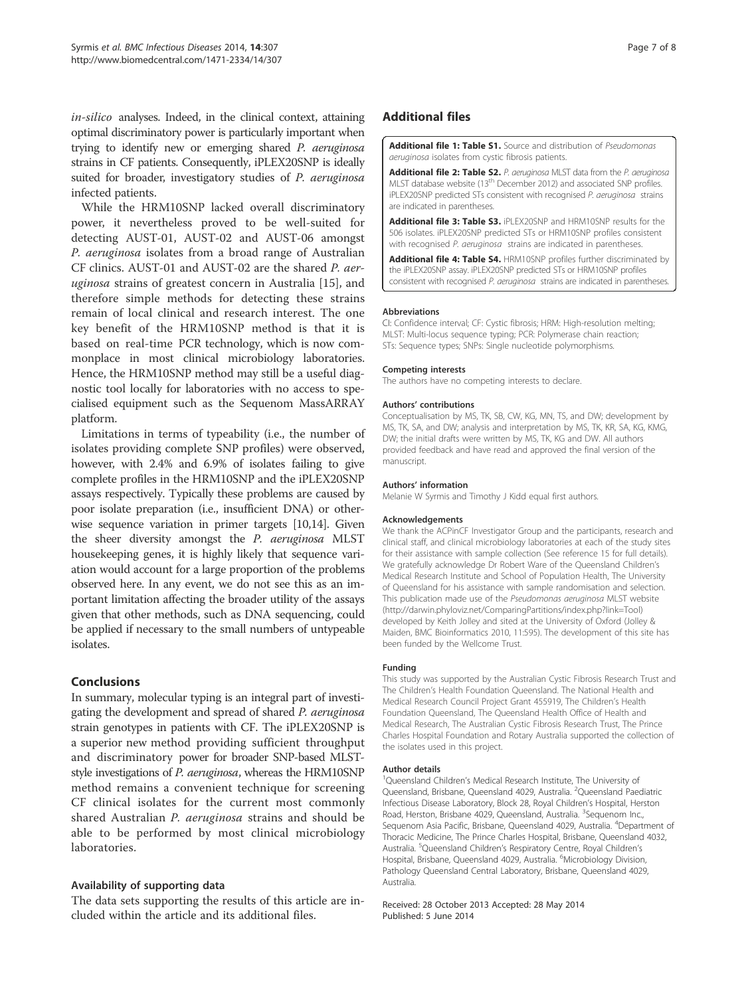in-silico analyses. Indeed, in the clinical context, attaining optimal discriminatory power is particularly important when trying to identify new or emerging shared P. aeruginosa strains in CF patients. Consequently, iPLEX20SNP is ideally suited for broader, investigatory studies of P. aeruginosa infected patients.

While the HRM10SNP lacked overall discriminatory power, it nevertheless proved to be well-suited for detecting AUST-01, AUST-02 and AUST-06 amongst P. aeruginosa isolates from a broad range of Australian CF clinics. AUST-01 and AUST-02 are the shared P. aeruginosa strains of greatest concern in Australia [15], and therefore simple methods for detecting these strains remain of local clinical and research interest. The one key benefit of the HRM10SNP method is that it is based on real-time PCR technology, which is now commonplace in most clinical microbiology laboratories. Hence, the HRM10SNP method may still be a useful diagnostic tool locally for laboratories with no access to specialised equipment such as the Sequenom MassARRAY platform.

Limitations in terms of typeability (i.e., the number of isolates providing complete SNP profiles) were observed, however, with 2.4% and 6.9% of isolates failing to give complete profiles in the HRM10SNP and the iPLEX20SNP assays respectively. Typically these problems are caused by poor isolate preparation (i.e., insufficient DNA) or otherwise sequence variation in primer targets [10,14]. Given the sheer diversity amongst the P. aeruginosa MLST housekeeping genes, it is highly likely that sequence variation would account for a large proportion of the problems observed here. In any event, we do not see this as an important limitation affecting the broader utility of the assays given that other methods, such as DNA sequencing, could be applied if necessary to the small numbers of untypeable isolates.

## **Conclusions**

In summary, molecular typing is an integral part of investigating the development and spread of shared P. aeruginosa strain genotypes in patients with CF. The iPLEX20SNP is a superior new method providing sufficient throughput and discriminatory power for broader SNP-based MLSTstyle investigations of *P. aeruginosa*, whereas the HRM10SNP method remains a convenient technique for screening CF clinical isolates for the current most commonly shared Australian *P. aeruginosa* strains and should be able to be performed by most clinical microbiology laboratories.

## Availability of supporting data

The data sets supporting the results of this article are included within the article and its additional files.

## Additional files

Additional file 1: Table S1. Source and distribution of Pseudomonas aeruginosa isolates from cystic fibrosis patients.

Additional file 2: Table S2. P. aeruginosa MLST data from the P. aeruginosa MLST database website (13th December 2012) and associated SNP profiles. iPLEX20SNP predicted STs consistent with recognised P. aeruginosa strains are indicated in parentheses.

Additional file 3: Table S3. iPLEX20SNP and HRM10SNP results for the 506 isolates. iPLEX20SNP predicted STs or HRM10SNP profiles consistent with recognised P. aeruginosa strains are indicated in parentheses.

Additional file 4: Table S4. HRM10SNP profiles further discriminated by the iPLEX20SNP assay. iPLEX20SNP predicted STs or HRM10SNP profiles consistent with recognised P. aeruginosa strains are indicated in parentheses

#### Abbreviations

CI: Confidence interval; CF: Cystic fibrosis; HRM: High-resolution melting; MLST: Multi-locus sequence typing; PCR: Polymerase chain reaction; STs: Sequence types; SNPs: Single nucleotide polymorphisms.

#### Competing interests

The authors have no competing interests to declare.

#### Authors' contributions

Conceptualisation by MS, TK, SB, CW, KG, MN, TS, and DW; development by MS, TK, SA, and DW; analysis and interpretation by MS, TK, KR, SA, KG, KMG, DW; the initial drafts were written by MS, TK, KG and DW. All authors provided feedback and have read and approved the final version of the manuscript.

#### Authors' information

Melanie W Syrmis and Timothy J Kidd equal first authors.

#### Acknowledgements

We thank the ACPinCF Investigator Group and the participants, research and clinical staff, and clinical microbiology laboratories at each of the study sites for their assistance with sample collection (See reference 15 for full details). We gratefully acknowledge Dr Robert Ware of the Queensland Children's Medical Research Institute and School of Population Health, The University of Queensland for his assistance with sample randomisation and selection. This publication made use of the Pseudomonas aeruginosa MLST website (http://darwin.phyloviz.net/ComparingPartitions/index.php?link=Tool) developed by Keith Jolley and sited at the University of Oxford (Jolley & Maiden, BMC Bioinformatics 2010, 11:595). The development of this site has been funded by the Wellcome Trust.

#### Funding

This study was supported by the Australian Cystic Fibrosis Research Trust and The Children's Health Foundation Queensland. The National Health and Medical Research Council Project Grant 455919, The Children's Health Foundation Queensland, The Queensland Health Office of Health and Medical Research, The Australian Cystic Fibrosis Research Trust, The Prince Charles Hospital Foundation and Rotary Australia supported the collection of the isolates used in this project.

#### Author details

<sup>1</sup>Queensland Children's Medical Research Institute, The University of Queensland, Brisbane, Queensland 4029, Australia. <sup>2</sup>Queensland Paediatric Infectious Disease Laboratory, Block 28, Royal Children's Hospital, Herston Road, Herston, Brisbane 4029, Queensland, Australia. <sup>3</sup>Sequenom Inc. Sequenom Asia Pacific, Brisbane, Queensland 4029, Australia. <sup>4</sup>Department of Thoracic Medicine, The Prince Charles Hospital, Brisbane, Queensland 4032, Australia. <sup>5</sup>Queensland Children's Respiratory Centre, Royal Children's Hospital, Brisbane, Queensland 4029, Australia. <sup>6</sup>Microbiology Division, Pathology Queensland Central Laboratory, Brisbane, Queensland 4029, Australia.

Received: 28 October 2013 Accepted: 28 May 2014 Published: 5 June 2014